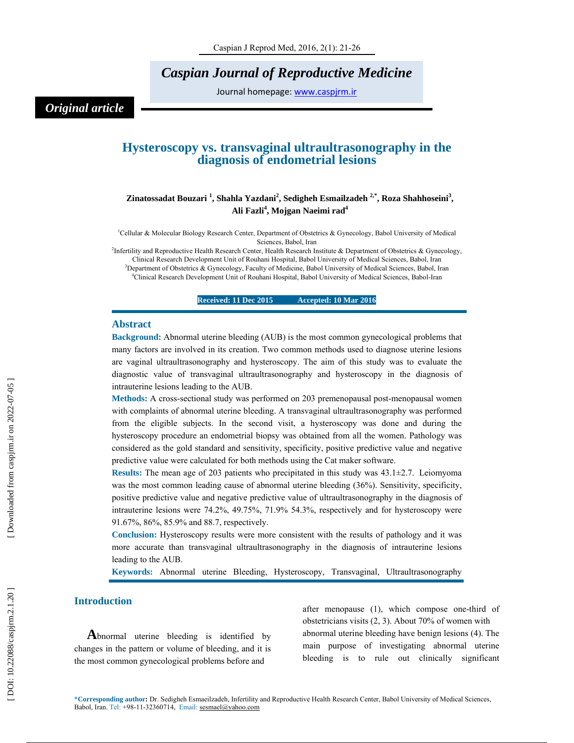# *Caspian Journal of Reproductive Medicine*

Journal homepage: www.caspjrm.ir

# *Original article*

# **Hysteroscopy vs. transvaginal ultraultrasonography in the diagnosis of endometrial lesions**

# Zinatossadat Bouzari<sup>1</sup>, Shahla Yazdani<sup>2</sup>, Sedigheh Esmailzadeh <sup>2,\*</sup>, Roza Shahhoseini<sup>3</sup>, **Ali Fazli 4 , Mojgan Naeimi rad 4**

<sup>1</sup>Cellular & Molecular Biology Research Center, Department of Obstetrics & Gynecology, Babol University of Medical Sciences, Babol, Iran

<sup>2</sup>Infertility and Reproductive Health Research Center, Health Research Institute & Department of Obstetrics & Gynecology, Clinical Research Development Unit of Rouhani Hospital, Babol University of Medical Sciences, Babol, Iran

 ${}^{3}$ Department of Obstetrics & Gynecology, Faculty of Medicine, Babol University of Medical Sciences, Babol, Iran  ${}^{4}$ Clinical Because Department Unit of Beyhani Hespital, Babol University of Medical Sciences, Babol, <sup>4</sup>Clinical Research Development Unit of Rouhani Hospital, Babol University of Medical Sciences, Babol-Iran

**Received: 11 Dec 2015 Accepted: 10 Mar 2016** 

#### **Abstract**

**Background:** Abnormal uterine bleeding (AUB) is the most common gynecological problems that many factors are involved in its creation. Two common methods used to diagnose uterine lesions are vaginal ultraultrasonography and hysteroscopy. The aim of this study was to evaluate the diagnostic value of transvaginal ultraultrasonography and hysteroscopy in the diagnosis of intrauterine lesions leading to the AUB.

**Methods:** A cross-sectional study was performed on 203 premenopausal post-menopausal women with complaints of abnormal uterine bleeding. A transvaginal ultraultrasonography was performed from the eligible subjects. In the second visit, a hysteroscopy was done and during the hysteroscopy procedure an endometrial biopsy was obtained from all the women. Pathology was considered as the gold standard and sensitivity, specificity, positive predictive value and negative predictive value were calculated for both methods using the Cat maker software.

**Results:** The mean age of 203 patients who precipitated in this study was 43.1±2.7. Leiomyoma was the most common leading cause of abnormal uterine bleeding (36%). Sensitivity, specificity, positive predictive value and negative predictive value of ultraultrasonography in the diagnosis of intrauterine lesions were 74.2%, 49.75%, 71.9% 54.3%, respectively and for hysteroscopy were 91.67%, 86%, 85.9% and 88.7, respectively.

**Conclusion:** Hysteroscopy results were more consistent with the results of pathology and it was more accurate than transvaginal ultraultrasonography in the diagnosis of intrauterine lesions leading to the AUB.

**Keywords:** Abnormal uterine Bleeding, Hysteroscopy, Transvaginal, Ultraultrasonography

**Introduction**<br> **A**bnormal uterine bleeding is identified by changes in the pattern or volume of bleeding, and it is the most common gynecological problems before and

after menopause (1), which compose one-third of obstetricians visits (2, 3). About 70% of women with abnormal uterine bleeding have benign lesions (4). The main purpose of investigating abnormal uterine bleeding is to rule out clinically significant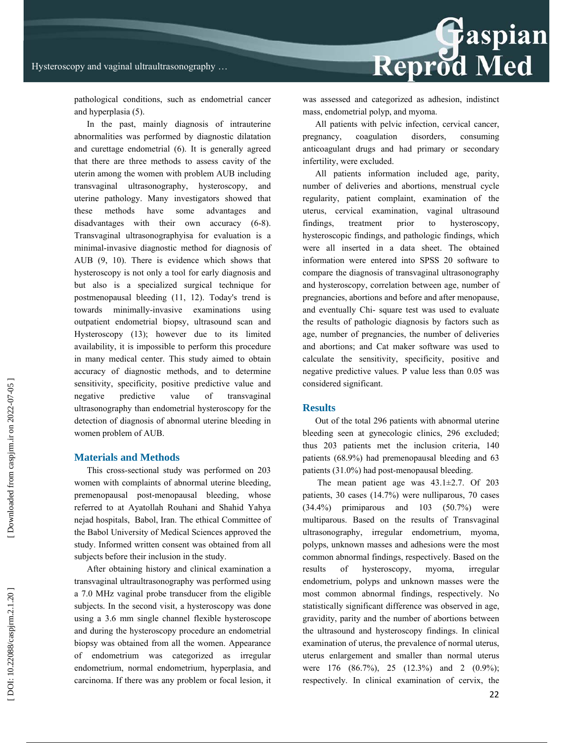

pathological conditions, such as endometrial cancer and hyperplasia (5).

In the past, mainly diagnosis of intrauterine abnormalities was performed by diagnostic dilatation and curettage endometrial (6). It is generally agreed that there are three methods to assess cavity of the uterin among the women with problem AUB including transvaginal ultrasonography, hysteroscopy, and uterine pathology. Many investigators showed that these methods have some advantages and disadvantages with their own accuracy (6-8). Transvaginal ultrasonographyisa for evaluation is a minimal-invasive diagnostic method for diagnosis of AUB (9, 10). There is evidence which shows that hysteroscopy is not only a tool for early diagnosis and but also is a specialized surgical technique for postmenopausal bleeding (11, 12). Today's trend is towards minimally-invasive examinations using outpatient endometrial biopsy, ultrasound scan and Hysteroscopy (13); however due to its limited availability, it is impossible to perform this procedure in many medical center. This study aimed to obtain accuracy of diagnostic methods, and to determine sensitivity, specificity, positive predictive value and negative predictive value of transvaginal ultrasonography than endometrial hysteroscopy for the detection of diagnosis of abnormal uterine bleeding in women problem of AUB.

#### **Materials and Methods**

This cross-sectional study was performed on 203 women with complaints of abnormal uterine bleeding, premenopausal post-menopausal bleeding, whose referred to at Ayatollah Rouhani and Shahid Yahya nejad hospitals, Babol, Iran. The ethical Committee of the Babol University of Medical Sciences approved the study. Informed written consent was obtained from all subjects before their inclusion in the study.

After obtaining history and clinical examination a transvaginal ultraultrasonography was performed using a 7.0 MHz vaginal probe transducer from the eligible subjects. In the second visit, a hysteroscopy was done using a 3.6 mm single channel flexible hysteroscope and during the hysteroscopy procedure an endometrial biopsy was obtained from all the women. Appearance of endometrium was categorized as irregular endometrium, normal endometrium, hyperplasia, and carcinoma. If there was any problem or focal lesion, it was assessed and categorized as adhesion, indistinct mass, endometrial polyp, and myoma.

All patients with pelvic infection, cervical cancer, pregnancy, coagulation disorders, consuming anticoagulant drugs and had primary or secondary infertility, were excluded.

All patients information included age, parity, number of deliveries and abortions, menstrual cycle regularity, patient complaint, examination of the uterus, cervical examination, vaginal ultrasound findings, treatment prior to hysteroscopy, hysteroscopic findings, and pathologic findings, which were all inserted in a data sheet. The obtained information were entered into SPSS 20 software to compare the diagnosis of transvaginal ultrasonography and hysteroscopy, correlation between age, number of pregnancies, abortions and before and after menopause, and eventually Chi- square test was used to evaluate the results of pathologic diagnosis by factors such as age, number of pregnancies, the number of deliveries and abortions; and Cat maker software was used to calculate the sensitivity, specificity, positive and negative predictive values. P value less than 0.05 was considered significant.

### **Results**

Out of the total 296 patients with abnormal uterine bleeding seen at gynecologic clinics, 296 excluded; thus 203 patients met the inclusion criteria, 140 patients (68.9%) had premenopausal bleeding and 63 patients (31.0%) had post-menopausal bleeding.

 The mean patient age was 43.1±2.7. Of 203 patients, 30 cases (14.7%) were nulliparous, 70 cases (34.4%) primiparous and 103 (50.7%) were multiparous. Based on the results of Transvaginal ultrasonography, irregular endometrium, myoma, polyps, unknown masses and adhesions were the most common abnormal findings, respectively. Based on the results of hysteroscopy, myoma, irregular endometrium, polyps and unknown masses were the most common abnormal findings, respectively. No statistically significant difference was observed in age, gravidity, parity and the number of abortions between the ultrasound and hysteroscopy findings. In clinical examination of uterus, the prevalence of normal uterus, uterus enlargement and smaller than normal uterus were 176 (86.7%), 25 (12.3%) and 2 (0.9%); respectively. In clinical examination of cervix, the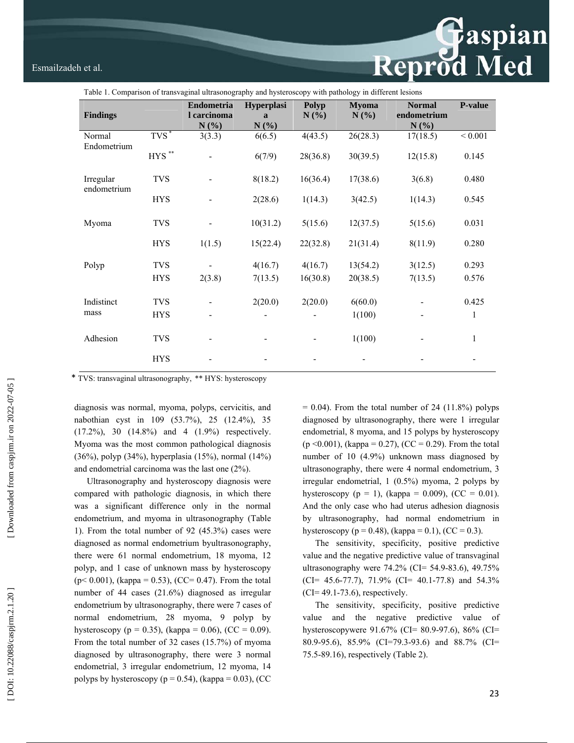# Esmailzadeh et al. Esmailzadeh et al.

| Table 1. Comparison of transvaginal ultrasonography and hysteroscopy with pathology in different lesions |                     |                                   |                                    |                  |                      |                                      |             |  |  |  |
|----------------------------------------------------------------------------------------------------------|---------------------|-----------------------------------|------------------------------------|------------------|----------------------|--------------------------------------|-------------|--|--|--|
| <b>Findings</b>                                                                                          |                     | Endometria<br>l carcinoma<br>N(%) | Hyperplasi<br>$\mathbf{a}$<br>N(%) | Polyp<br>$N(\%)$ | <b>Myoma</b><br>N(%) | <b>Normal</b><br>endometrium<br>N(%) | P-value     |  |  |  |
| Normal<br>Endometrium                                                                                    | $T\overline{VS}^*$  | 3(3.3)                            | 6(6.5)                             | 4(43.5)          | 26(28.3)             | 17(18.5)                             | ${}< 0.001$ |  |  |  |
|                                                                                                          | ${\rm HYS}$ $^{**}$ |                                   | 6(7/9)                             | 28(36.8)         | 30(39.5)             | 12(15.8)                             | 0.145       |  |  |  |
| Irregular<br>endometrium                                                                                 | <b>TVS</b>          |                                   | 8(18.2)                            | 16(36.4)         | 17(38.6)             | 3(6.8)                               | 0.480       |  |  |  |
|                                                                                                          | <b>HYS</b>          |                                   | 2(28.6)                            | 1(14.3)          | 3(42.5)              | 1(14.3)                              | 0.545       |  |  |  |
| Myoma                                                                                                    | <b>TVS</b>          |                                   | 10(31.2)                           | 5(15.6)          | 12(37.5)             | 5(15.6)                              | 0.031       |  |  |  |
|                                                                                                          | <b>HYS</b>          | 1(1.5)                            | 15(22.4)                           | 22(32.8)         | 21(31.4)             | 8(11.9)                              | 0.280       |  |  |  |
| Polyp                                                                                                    | <b>TVS</b>          |                                   | 4(16.7)                            | 4(16.7)          | 13(54.2)             | 3(12.5)                              | 0.293       |  |  |  |
|                                                                                                          | <b>HYS</b>          | 2(3.8)                            | 7(13.5)                            | 16(30.8)         | 20(38.5)             | 7(13.5)                              | 0.576       |  |  |  |
| Indistinct                                                                                               | <b>TVS</b>          |                                   | 2(20.0)                            | 2(20.0)          | 6(60.0)              |                                      | 0.425       |  |  |  |
| mass                                                                                                     | <b>HYS</b>          |                                   |                                    |                  | 1(100)               |                                      | 1           |  |  |  |
| Adhesion                                                                                                 | <b>TVS</b>          |                                   |                                    |                  | 1(100)               |                                      | 1           |  |  |  |
|                                                                                                          | <b>HYS</b>          |                                   |                                    |                  |                      |                                      |             |  |  |  |
|                                                                                                          |                     |                                   |                                    |                  |                      |                                      |             |  |  |  |

\* TVS: transvaginal ultrasonography, \*\* HYS: hysteroscopy

diagnosis was normal, myoma, polyps, cervicitis, and nabothian cyst in 109 (53.7%), 25 (12.4%), 35 (17.2%), 30 (14.8%) and 4 (1.9%) respectively. Myoma was the most common pathological diagnosis (36%), polyp (34%), hyperplasia (15%), normal (14%) and endometrial carcinoma was the last one (2%).

Ultrasonography and hysteroscopy diagnosis were compared with pathologic diagnosis, in which there was a significant difference only in the normal endometrium, and myoma in ultrasonography (Table 1). From the total number of 92 (45.3%) cases were diagnosed as normal endometrium byultrasonography, there were 61 normal endometrium, 18 myoma, 12 polyp, and 1 case of unknown mass by hysteroscopy  $(p< 0.001)$ , (kappa = 0.53), (CC= 0.47). From the total number of 44 cases (21.6%) diagnosed as irregular endometrium by ultrasonography, there were 7 cases of normal endometrium, 28 myoma, 9 polyp by hysteroscopy ( $p = 0.35$ ), (kappa = 0.06), (CC = 0.09). From the total number of 32 cases (15.7%) of myoma diagnosed by ultrasonography, there were 3 normal endometrial, 3 irregular endometrium, 12 myoma, 14 polyps by hysteroscopy ( $p = 0.54$ ), (kappa = 0.03), (CC  $= 0.04$ ). From the total number of 24 (11.8%) polyps diagnosed by ultrasonography, there were 1 irregular endometrial, 8 myoma, and 15 polyps by hysteroscopy  $(p \le 0.001)$ , (kappa = 0.27), (CC = 0.29). From the total number of 10 (4.9%) unknown mass diagnosed by ultrasonography, there were 4 normal endometrium, 3 irregular endometrial, 1 (0.5%) myoma, 2 polyps by hysteroscopy ( $p = 1$ ), (kappa = 0.009), (CC = 0.01). And the only case who had uterus adhesion diagnosis by ultrasonography, had normal endometrium in hysteroscopy ( $p = 0.48$ ), (kappa = 0.1), (CC = 0.3).

The sensitivity, specificity, positive predictive value and the negative predictive value of transvaginal ultrasonography were 74.2% (CI= 54.9-83.6), 49.75%  $(CI= 45.6-77.7)$ , 71.9%  $(CI= 40.1-77.8)$  and 54.3% (CI= 49.1-73.6), respectively.

The sensitivity, specificity, positive predictive value and the negative predictive value of hysteroscopywere 91.67% (CI= 80.9-97.6), 86% (CI= 80.9-95.6), 85.9% (CI=79.3-93.6) and 88.7% (CI= 75.5-89.16), respectively (Table 2).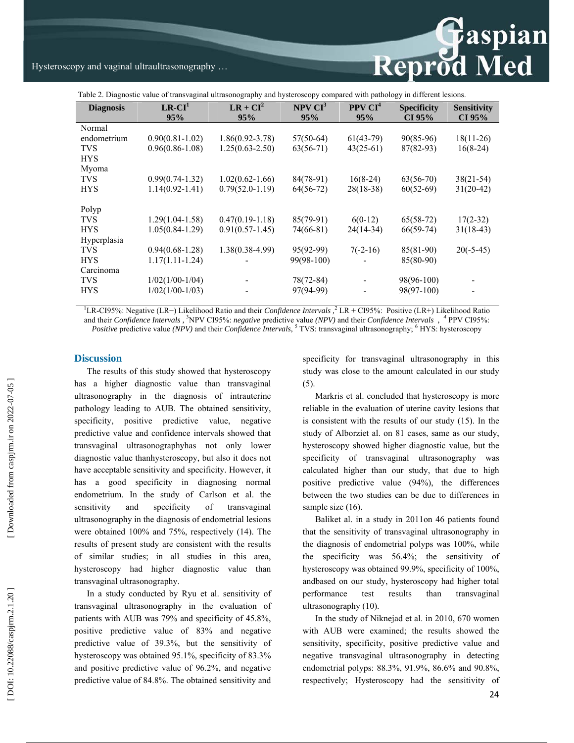Reprod Med

Table 2. Diagnostic value of transvaginal ultrasonography and hysteroscopy compared with pathology in different lesions.

| <b>Diagnosis</b>                                                                                                                                         | $LR-CI1$<br>95%     | $LR + CI^2$<br>95%  | NPV CI <sup>3</sup><br>95% | PPV CI <sup>4</sup><br>95% | <b>Specificity</b><br>CI 95% | <b>Sensitivity</b><br>CI 95% |  |  |  |  |
|----------------------------------------------------------------------------------------------------------------------------------------------------------|---------------------|---------------------|----------------------------|----------------------------|------------------------------|------------------------------|--|--|--|--|
| Normal                                                                                                                                                   |                     |                     |                            |                            |                              |                              |  |  |  |  |
| endometrium                                                                                                                                              | $0.90(0.81-1.02)$   | $1.86(0.92 - 3.78)$ | $57(50-64)$                | $61(43-79)$                | $90(85-96)$                  | $18(11-26)$                  |  |  |  |  |
| <b>TVS</b>                                                                                                                                               | $0.96(0.86 - 1.08)$ | $1.25(0.63 - 2.50)$ | $63(56-71)$                | $43(25-61)$                | $87(82-93)$                  | $16(8-24)$                   |  |  |  |  |
| <b>HYS</b>                                                                                                                                               |                     |                     |                            |                            |                              |                              |  |  |  |  |
| Myoma                                                                                                                                                    |                     |                     |                            |                            |                              |                              |  |  |  |  |
| <b>TVS</b>                                                                                                                                               | $0.99(0.74-1.32)$   | $1.02(0.62 - 1.66)$ | 84(78-91)                  | $16(8-24)$                 | $63(56-70)$                  | 38(21-54)                    |  |  |  |  |
| <b>HYS</b>                                                                                                                                               | $1.14(0.92 - 1.41)$ | $0.79(52.0-1.19)$   | $64(56-72)$                | $28(18-38)$                | $60(52-69)$                  | $31(20-42)$                  |  |  |  |  |
| Polyp                                                                                                                                                    |                     |                     |                            |                            |                              |                              |  |  |  |  |
| <b>TVS</b>                                                                                                                                               | $1.29(1.04-1.58)$   | $0.47(0.19-1.18)$   | $85(79-91)$                | $6(0-12)$                  | $65(58-72)$                  | $17(2-32)$                   |  |  |  |  |
| <b>HYS</b>                                                                                                                                               | $1.05(0.84-1.29)$   | $0.91(0.57 - 1.45)$ | 74(66-81)                  | $24(14-34)$                | $66(59-74)$                  | $31(18-43)$                  |  |  |  |  |
| Hyperplasia                                                                                                                                              |                     |                     |                            |                            |                              |                              |  |  |  |  |
| <b>TVS</b>                                                                                                                                               | $0.94(0.68-1.28)$   | $1.38(0.38-4.99)$   | $95(92-99)$                | $7(-2-16)$                 | $85(81-90)$                  | $20(-5-45)$                  |  |  |  |  |
| <b>HYS</b>                                                                                                                                               | $1.17(1.11-1.24)$   |                     | 99(98-100)                 |                            | 85(80-90)                    |                              |  |  |  |  |
| Carcinoma                                                                                                                                                |                     |                     |                            |                            |                              |                              |  |  |  |  |
| <b>TVS</b>                                                                                                                                               | $1/02(1/00-1/04)$   |                     | 78(72-84)                  |                            | 98(96-100)                   |                              |  |  |  |  |
| <b>HYS</b>                                                                                                                                               | $1/02(1/00-1/03)$   |                     | 97(94-99)                  |                            | 98(97-100)                   |                              |  |  |  |  |
|                                                                                                                                                          |                     |                     |                            |                            |                              |                              |  |  |  |  |
| <sup>1</sup> LR-CI95%: Negative (LR-) Likelihood Ratio and their <i>Confidence Intervals</i> , $\frac{1}{2}$ LR + CI95%: Positive (LR+) Likelihood Ratio |                     |                     |                            |                            |                              |                              |  |  |  |  |

and their *Confidence Intervals ,*  3 NPV CI95%: *negative* predictive value *(NPV)* and their *Confidence Intervals , <sup>4</sup>* PPV CI95%: *Positive* predictive value *(NPV)* and their *Confidence Intervals*, <sup>5</sup> TVS: transvaginal ultrasonography; <sup>6</sup> HYS: hysteroscopy

### **Discussion**

The results of this study showed that hysteroscopy has a higher diagnostic value than transvaginal ultrasonography in the diagnosis of intrauterine pathology leading to AUB. The obtained sensitivity, specificity, positive predictive value, negative predictive value and confidence intervals showed that transvaginal ultrasonographyhas not only lower diagnostic value thanhysteroscopy, but also it does not have acceptable sensitivity and specificity. However, it has a good specificity in diagnosing normal endometrium. In the study of Carlson et al. the sensitivity and specificity of transvaginal ultrasonography in the diagnosis of endometrial lesions were obtained 100% and 75%, respectively (14). The results of present study are consistent with the results of similar studies; in all studies in this area, hysteroscopy had higher diagnostic value than transvaginal ultrasonography.

In a study conducted by Ryu et al. sensitivity of transvaginal ultrasonography in the evaluation of patients with AUB was 79% and specificity of 45.8%, positive predictive value of 83% and negative predictive value of 39.3%, but the sensitivity of hysteroscopy was obtained 95.1%, specificity of 83.3% and positive predictive value of 96.2%, and negative predictive value of 84.8%. The obtained sensitivity and specificity for transvaginal ultrasonography in this study was close to the amount calculated in our study (5).

Markris et al. concluded that hysteroscopy is more reliable in the evaluation of uterine cavity lesions that is consistent with the results of our study (15). In the study of Alborziet al. on 81 cases, same as our study, hysteroscopy showed higher diagnostic value, but the specificity of transvaginal ultrasonography was calculated higher than our study, that due to high positive predictive value (94%), the differences between the two studies can be due to differences in sample size  $(16)$ .

Baliket al. in a study in 2011on 46 patients found that the sensitivity of transvaginal ultrasonography in the diagnosis of endometrial polyps was 100%, while the specificity was 56.4%; the sensitivity of hysteroscopy was obtained 99.9%, specificity of 100%, andbased on our study, hysteroscopy had higher total performance test results than transvaginal ultrasonography (10).

In the study of Niknejad et al. in 2010, 670 women with AUB were examined; the results showed the sensitivity, specificity, positive predictive value and negative transvaginal ultrasonography in detecting endometrial polyps: 88.3%, 91.9%, 86.6% and 90.8%, respectively; Hysteroscopy had the sensitivity of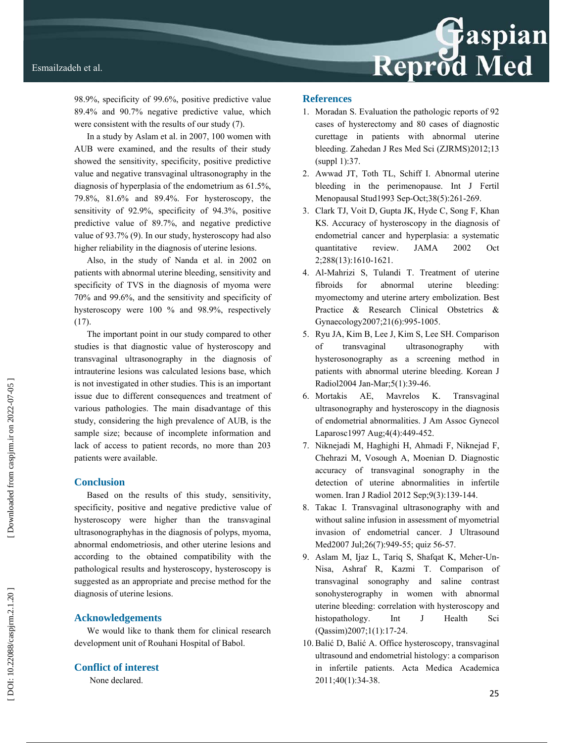98.9%, specificity of 99.6%, positive predictive value 89.4% and 90.7% negative predictive value, which were consistent with the results of our study (7).

In a study by Aslam et al. in 2007, 100 women with AUB were examined, and the results of their study showed the sensitivity, specificity, positive predictive value and negative transvaginal ultrasonography in the diagnosis of hyperplasia of the endometrium as 61.5%, 79.8%, 81.6% and 89.4%. For hysteroscopy, the sensitivity of 92.9%, specificity of 94.3%, positive predictive value of 89.7%, and negative predictive value of 93.7% (9). In our study, hysteroscopy had also higher reliability in the diagnosis of uterine lesions.

Also, in the study of Nanda et al. in 2002 on patients with abnormal uterine bleeding, sensitivity and specificity of TVS in the diagnosis of myoma were 70% and 99.6%, and the sensitivity and specificity of hysteroscopy were 100 % and 98.9%, respectively (17).

The important point in our study compared to other studies is that diagnostic value of hysteroscopy and transvaginal ultrasonography in the diagnosis of intrauterine lesions was calculated lesions base, which is not investigated in other studies. This is an important issue due to different consequences and treatment of various pathologies. The main disadvantage of this study, considering the high prevalence of AUB, is the sample size; because of incomplete information and lack of access to patient records, no more than 203 patients were available.

# **Conclusion**

Based on the results of this study, sensitivity, specificity, positive and negative predictive value of hysteroscopy were higher than the transvaginal ultrasonographyhas in the diagnosis of polyps, myoma, abnormal endometriosis, and other uterine lesions and according to the obtained compatibility with the pathological results and hysteroscopy, hysteroscopy is suggested as an appropriate and precise method for the diagnosis of uterine lesions.

# **Acknowledgements**

We would like to thank them for clinical research development unit of Rouhani Hospital of Babol.

# **Conflict of interest**

None declared.

## **References**

- 1. Moradan S. Evaluation the pathologic reports of 92 cases of hysterectomy and 80 cases of diagnostic curettage in patients with abnormal uterine bleeding. Zahedan J Res Med Sci (ZJRMS)2012;13 (suppl 1):37.
- 2. Awwad JT, Toth TL, Schiff I. Abnormal uterine bleeding in the perimenopause. Int J Fertil Menopausal Stud1993 Sep-Oct;38(5):261-269.
- 3. Clark TJ, Voit D, Gupta JK, Hyde C, Song F, Khan KS. Accuracy of hysteroscopy in the diagnosis of endometrial cancer and hyperplasia: a systematic quantitative review. JAMA 2002 Oct 2;288(13):1610-1621.
- 4. Al-Mahrizi S, Tulandi T. Treatment of uterine fibroids for abnormal uterine bleeding: myomectomy and uterine artery embolization. Best Practice & Research Clinical Obstetrics & Gynaecology2007;21(6):995-1005.
- 5. Ryu JA, Kim B, Lee J, Kim S, Lee SH. Comparison of transvaginal ultrasonography with hysterosonography as a screening method in patients with abnormal uterine bleeding. Korean J Radiol2004 Jan-Mar;5(1):39-46.
- 6. Mortakis AE, Mavrelos K. Transvaginal ultrasonography and hysteroscopy in the diagnosis of endometrial abnormalities. J Am Assoc Gynecol Laparosc1997 Aug;4(4):449-452.
- 7. Niknejadi M, Haghighi H, Ahmadi F, Niknejad F, Chehrazi M, Vosough A, Moenian D. Diagnostic accuracy of transvaginal sonography in the detection of uterine abnormalities in infertile women. Iran J Radiol 2012 Sep;9(3):139-144.
- 8. Takac I. Transvaginal ultrasonography with and without saline infusion in assessment of myometrial invasion of endometrial cancer. J Ultrasound Med2007 Jul;26(7):949-55; quiz 56-57.
- 9. Aslam M, Ijaz L, Tariq S, Shafqat K, Meher-Un-Nisa, Ashraf R, Kazmi T. Comparison of transvaginal sonography and saline contrast sonohysterography in women with abnormal uterine bleeding: correlation with hysteroscopy and histopathology. Int J Health Sci (Qassim)2007;1(1):17-24.
- 10. Bali ć D, Bali ć A. Office hysteroscopy, transvaginal ultrasound and endometrial histology: a comparison in infertile patients. Acta Medica Academica 2011;40(1):34-38.